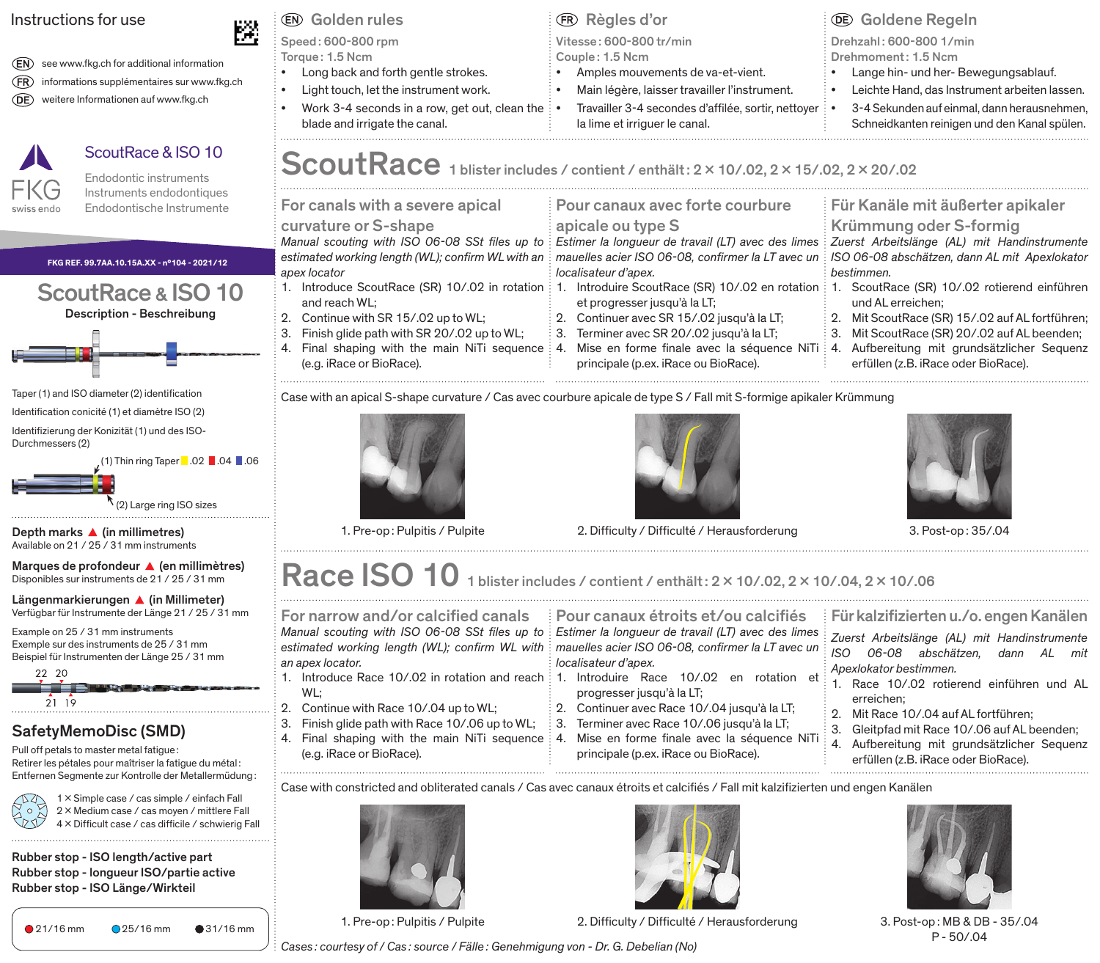### Instructions for use

(EN) see www.fkg.ch for additional information (FR) informations supplémentaires sur www.fkg.ch weitere Informationen auf www.fkg.ch

## ScoutRace & ISO 10

Endodontic instruments Instruments endodontiques Endodontische Instrumente

| FKG REF. 99.7AA.10.15A.XX - nº104 - 2021/12 |  |  |  |  |  |
|---------------------------------------------|--|--|--|--|--|
| ScoutRace & ISO 10                          |  |  |  |  |  |
| Description - Beschreibung                  |  |  |  |  |  |



- Taper (1) and ISO diameter (2) identification
- Identification conicité (1) et diamètre ISO (2)
- Identifizierung der Konizität (1) und des ISO-Durchmessers (2)

 $(1)$  Thin ring Taper  $\blacksquare$  .02  $\blacksquare$  .04  $\blacksquare$  .06

(2) Large ring ISO sizes

Depth marks  $\triangle$  (in millimetres) Available on 21 / 25 / 31 mm instruments

Marques de profondeur <a>
(en millimètres)</a> Disponibles sur instruments de 21 / 25 / 31 mm

Längenmarkierungen A (in Millimeter) Verfügbar für Instrumente der Länge 21 / 25 / 31 mm

Example on 25 / 31 mm instruments Exemple sur des instruments de 25 / 31 mm Beispiel für Instrumenten der Länge 25 / 31 mm



## SafetyMemoDisc (SMD)

Pull off petals to master metal fatigue : Retirer les pétales pour maîtriser la fatigue du métal : Entfernen Segmente zur Kontrolle der Metallermüdung :



1 x Simple case / cas simple / einfach Fall 2 x Medium case / cas moyen / mittlere Fall 4 x Difficult case / cas difficile / schwierig Fall

Rubber stop - ISO length/active part Rubber stop - longueur ISO/partie active Rubber stop - ISO Länge/Wirkteil

## Golden rules Règles d'or Goldene Regeln

Speed : 600-800 rpm Torque : 1.5 Ncm

• Long back and forth gentle strokes.

- Light touch, let the instrument work.
	- Work 3-4 seconds in a row, get out, clean the  $\cdot$ blade and irrigate the canal.
- 
- Vitesse : 600-800 tr/min Couple : 1.5 Ncm
- Amples mouvements de va-et-vient.
- Main légère, laisser travailler l'instrument.
- Travailler 3-4 secondes d'affilée, sortir, nettoyer la lime et irriquer le canal.

Drehzahl : 600-800 1/min

- Drehmoment : 1.5 Ncm
- Lange hin- und her- Bewegungsablauf.
- Leichte Hand, das Instrument arbeiten lassen.
- 3-4 Sekunden auf einmal, dann herausnehmen, Schneidkanten reinigen und den Kanal spülen.
- For canals with a severe apical curvature or S-shape *Manual scouting with ISO 06-08 SSt files up to estimated working length (WL); confirm WL with an apex locator* 1. Introduce ScoutRace (SR) 10/.02 in rotation 1. Introduire ScoutRace (SR) 10/.02 en rotation 1. ScoutRace (SR) 10/.02 rotierend einführen and reach WL; 2. Continue with SR 15/.02 up to WL; 3. Finish glide path with SR 20/.02 up to WL; 4. Final shaping with the main NiTi sequence 4. Mise en forme finale avec la séquence NiTi (e.g. iRace or BioRace). Für Kanäle mit äußerter apikaler Krümmung oder S-formig *Zuerst Arbeitslänge (AL) mit Handinstrumente ISO 06-08 abschätzen, dann AL mit Apexlokator bestimmen.* und AL erreichen; 2. Mit ScoutRace (SR) 15/.02 auf AL fortführen; 3. Mit ScoutRace (SR) 20/.02 auf AL beenden; 4. Aufbereitung mit grundsätzlicher Sequenz Pour canaux avec forte courbure apicale ou type S *Estimer la longueur de travail (LT) avec des limes mauelles acier ISO 06-08, confirmer la LT avec un localisateur d'apex.* et progresser jusqu'à la LT; 2. Continuer avec SR 15/.02 jusqu'à la LT; 3. Terminer avec SR 20/.02 jusqu'à la LT; principale (p.ex. iRace ou BioRace).  ${\bf ScoutRace}$  1 blister includes / contient / enthält $: 2 \times 10$ /.02, 2  $\times$  15/.02, 2  $\times$  20/.02
	- erfüllen (z.B. iRace oder BioRace).

Case with an apical S-shape curvature / Cas avec courbure apicale de type S / Fall mit S-formige apikaler Krümmung







1. Pre-op : Pulpitis / Pulpite 2. Difficulty / Difficulté / Herausforderung 3. Post-op : 35/.04

# Race  $ISO$  10 1 blister includes / contient / enthält : 2 x 10/.02, 2 x 10/.04, 2 x 10/.06

For narrow and/or calcified canals *Manual scouting with ISO 06-08 SSt files up to Estimer la longueur de travail (LT) avec des limes estimated working length (WL); confirm WL with mauelles acier ISO 06-08, confirmer la LT avec un an apex locator.* 1. Introduce Race 10/.02 in rotation and reach 1. Introduire Race 10/.02 en rotation et WL; Für kalzifizierten u./o. engen Kanälen *Zuerst Arbeitslänge (AL) mit Handinstrumente*  06-08 abschätzen, dann AL *Apexlokator bestimmen.* 1. Race 10/.02 rotierend einführen und AL erreichen; Pour canaux étroits et/ou calcifiés *localisateur d'apex.* progresser jusqu'à la LT;

- 
- 
- 4. Mise en forme finale avec la séquence NiTi principale (p.ex. iRace ou BioRace).
- 
- 2. Mit Race 10/04 auf AL fortführen:
- 3. Gleitpfad mit Race 10/.06 auf AL beenden;
- 4. Aufbereitung mit grundsätzlicher Sequenz erfüllen (z.B. iRace oder BioRace).

Case with constricted and obliterated canals / Cas avec canaux étroits et calcifiés / Fall mit kalzifizierten und engen Kanälen





P - 50/.04



- 2. Continue with Race 10/.04 up to WL;
- 3. Finish glide path with Race 10/.06 up to WL;
- 4. Final shaping with the main NiTi sequence 4. (e.g. iRace or BioRace).
- 
- 2. Continuer avec Race 10/.04 jusqu'à la LT;
- 3. Terminer avec Race 10/.06 jusqu'à la LT;
	-
- 
- 
- 
- 



*Cases : courtesy of / Cas : source / Fälle : Genehmigung von - Dr. G. Debelian (No)*